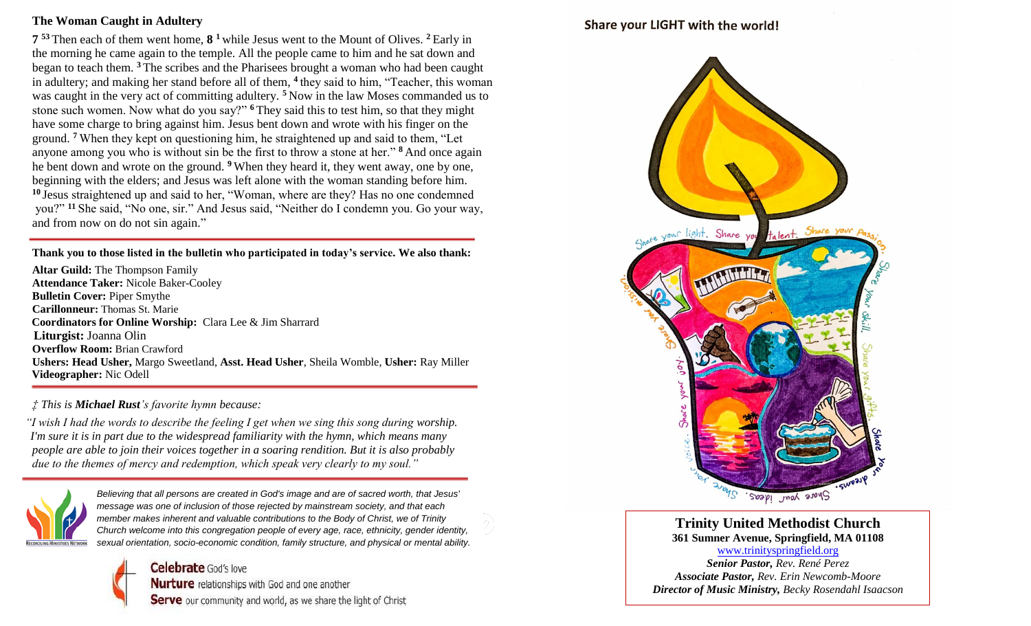## **The Woman Caught in Adultery**

**7 <sup>53</sup>** Then each of them went home, **8 <sup>1</sup>** while Jesus went to the Mount of Olives. **<sup>2</sup>** Early in the morning he came again to the temple. All the people came to him and he sat down and began to teach them. **<sup>3</sup>** The scribes and the Pharisees brought a woman who had been caught in adultery; and making her stand before all of them, **<sup>4</sup>** they said to him, "Teacher, this woman was caught in the very act of committing adultery.<sup>5</sup> Now in the law Moses commanded us to stone such women. Now what do you say?" **<sup>6</sup>** They said this to test him, so that they might have some charge to bring against him. Jesus bent down and wrote with his finger on the ground. **<sup>7</sup>** When they kept on questioning him, he straightened up and said to them, "Let anyone among you who is without sin be the first to throw a stone at her." **<sup>8</sup>** And once again he bent down and wrote on the ground. **<sup>9</sup>** When they heard it, they went away, one by one, beginning with the elders; and Jesus was left alone with the woman standing before him. **<sup>10</sup>** Jesus straightened up and said to her, "Woman, where are they? Has no one condemned you?" **<sup>11</sup>** She said, "No one, sir." And Jesus said, "Neither do I condemn you. Go your way, and from now on do not sin again."

**Thank you to those listed in the bulletin who participated in today's service. We also thank:**

**Altar Guild:** The Thompson Family **Attendance Taker:** Nicole Baker-Cooley **Bulletin Cover:** Piper Smythe **Carillonneur:** Thomas St. Marie  **Coordinators for Online Worship:** Clara Lee & Jim Sharrard  **Liturgist:** Joanna Olin **Overflow Room:** Brian Crawford **Ushers: Head Usher,** Margo Sweetland, **Asst. Head Usher**, Sheila Womble, **Usher:** Ray Miller  **Videographer:** Nic Odell

## *‡ This is Michael Rust's favorite hymn because:*

 *"I wish I had the words to describe the feeling I get when we sing this song during worship. I'm sure it is in part due to the widespread familiarity with the hymn, which means many people are able to join their voices together in a soaring rendition. But it is also probably due to the themes of mercy and redemption, which speak very clearly to my soul."* 



*Believing that all persons are created in God's image and are of sacred worth, that Jesus' message was one of inclusion of those rejected by mainstream society, and that each member makes inherent and valuable contributions to the Body of Christ, we of Trinity Church welcome into this congregation people of every age, race, ethnicity, gender identity, sexual orientation, socio-economic condition, family structure, and physical or mental ability.*

> **Celebrate** God's love Nurture relationships with God and one another Serve our community and world, as we share the light of Christ

## Share your LIGHT with the world!



**Trinity United Methodist Church 361 Sumner Avenue, Springfield, MA 01108** [www.trinityspringfield.org](http://www.trinityspringfield.org/)

*Senior Pastor, Rev. René Perez Associate Pastor, Rev. Erin Newcomb-Moore Director of Music Ministry, Becky Rosendahl Isaacson*